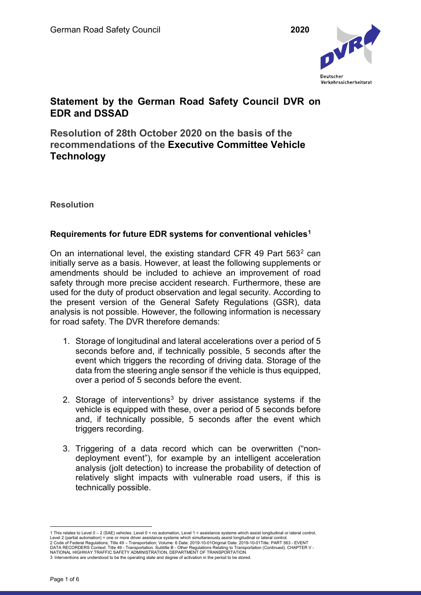

# **Statement by the German Road Safety Council DVR on EDR and DSSAD**

**Resolution of 28th October 2020 on the basis of the recommendations of the Executive Committee Vehicle Technology**

**Resolution**

## **Requirements for future EDR systems for conventional vehicles[1](#page-0-0)**

On an international level, the existing standard CFR 49 Part 563<sup>[2](#page-0-1)</sup> can initially serve as a basis. However, at least the following supplements or amendments should be included to achieve an improvement of road safety through more precise accident research. Furthermore, these are used for the duty of product observation and legal security. According to the present version of the General Safety Regulations (GSR), data analysis is not possible. However, the following information is necessary for road safety. The DVR therefore demands:

- 1. Storage of longitudinal and lateral accelerations over a period of 5 seconds before and, if technically possible, 5 seconds after the event which triggers the recording of driving data. Storage of the data from the steering angle sensor if the vehicle is thus equipped, over a period of 5 seconds before the event.
- 2. Storage of interventions<sup>[3](#page-0-2)</sup> by driver assistance systems if the vehicle is equipped with these, over a period of 5 seconds before and, if technically possible, 5 seconds after the event which triggers recording.
- 3. Triggering of a data record which can be overwritten ("nondeployment event"), for example by an intelligent acceleration analysis (jolt detection) to increase the probability of detection of relatively slight impacts with vulnerable road users, if this is technically possible.

<span id="page-0-2"></span><span id="page-0-1"></span><span id="page-0-0"></span><sup>—</sup> This relates to Level 0 – 2 (SAE) vehicles. Level 0 = no automation, Level 1 = assistance systems which assist longitudinal or lateral control, Level 2 (partial automation) = one or more driver assistance systems which 3 Interventions are understood to be the operating state and degree of activation in the period to be stored.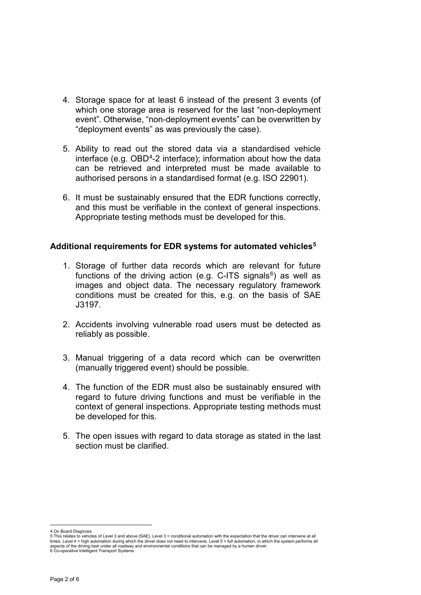- 4. Storage space for at least 6 instead of the present 3 events (of which one storage area is reserved for the last "non-deployment event". Otherwise, "non-deployment events" can be overwritten by "deployment events" as was previously the case).
- 5. Ability to read out the stored data via a standardised vehicle interface (e.g.  $OBD<sup>4</sup>$ -2 interface); information about how the data can be retrieved and interpreted must be made available to authorised persons in a standardised format (e.g. ISO 22901).
- 6. It must be sustainably ensured that the EDR functions correctly, and this must be verifiable in the context of general inspections. Appropriate testing methods must be developed for this.

#### **Additional requirements for EDR systems for automated vehicles[5](#page-1-1)**

- 1. Storage of further data records which are relevant for future functions of the driving action (e.g. C-ITS signals $6$ ) as well as images and object data. The necessary regulatory framework conditions must be created for this, e.g. on the basis of SAE J3197.
- 2. Accidents involving vulnerable road users must be detected as reliably as possible.
- 3. Manual triggering of a data record which can be overwritten (manually triggered event) should be possible.
- 4. The function of the EDR must also be sustainably ensured with regard to future driving functions and must be verifiable in the context of general inspections. Appropriate testing methods must be developed for this.
- 5. The open issues with regard to data storage as stated in the last section must be clarified

4 On Board Diagnosis

<span id="page-1-2"></span>6 Co-operative Intelligent Transport Systems

<span id="page-1-1"></span><span id="page-1-0"></span><sup>5</sup> This relates to vehicles of Level 3 and above (SAE). Level 3 = conditional automation with the expectation that the driver can intervene at all times, Level 4 = high automation during which the driver does not need to intervene, Level 5 = full automation, in which the system performs all<br>aspects of the driving task under all roadway and environmental conditions th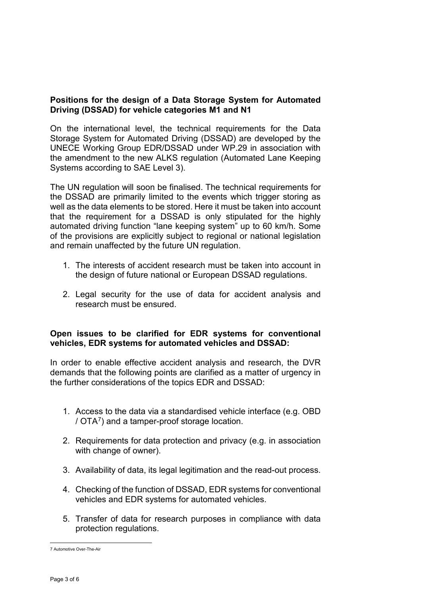## **Positions for the design of a Data Storage System for Automated Driving (DSSAD) for vehicle categories M1 and N1**

On the international level, the technical requirements for the Data Storage System for Automated Driving (DSSAD) are developed by the UNECE Working Group EDR/DSSAD under WP.29 in association with the amendment to the new ALKS regulation (Automated Lane Keeping Systems according to SAE Level 3).

The UN regulation will soon be finalised. The technical requirements for the DSSAD are primarily limited to the events which trigger storing as well as the data elements to be stored. Here it must be taken into account that the requirement for a DSSAD is only stipulated for the highly automated driving function "lane keeping system" up to 60 km/h. Some of the provisions are explicitly subject to regional or national legislation and remain unaffected by the future UN regulation.

- 1. The interests of accident research must be taken into account in the design of future national or European DSSAD regulations.
- 2. Legal security for the use of data for accident analysis and research must be ensured.

#### **Open issues to be clarified for EDR systems for conventional vehicles, EDR systems for automated vehicles and DSSAD:**

In order to enable effective accident analysis and research, the DVR demands that the following points are clarified as a matter of urgency in the further considerations of the topics EDR and DSSAD:

- 1. Access to the data via a standardised vehicle interface (e.g. OBD / OTA[7](#page-2-0)) and a tamper-proof storage location.
- 2. Requirements for data protection and privacy (e.g. in association with change of owner).
- 3. Availability of data, its legal legitimation and the read-out process.
- 4. Checking of the function of DSSAD, EDR systems for conventional vehicles and EDR systems for automated vehicles.
- 5. Transfer of data for research purposes in compliance with data protection regulations.

<span id="page-2-0"></span> <sup>7</sup> Automotive Over-The-Air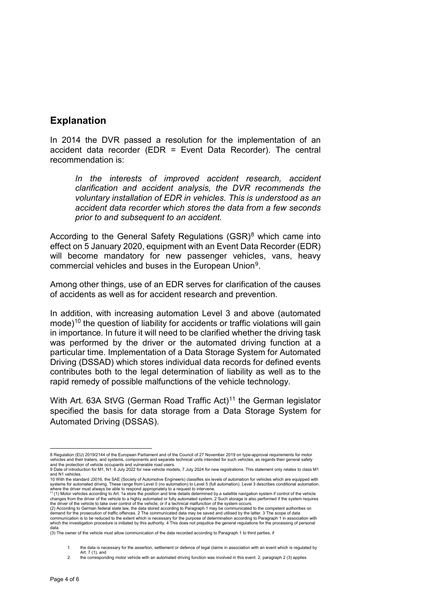## **Explanation**

In 2014 the DVR passed a resolution for the implementation of an accident data recorder (EDR = Event Data Recorder). The central recommendation is:

*In the interests of improved accident research, accident clarification and accident analysis, the DVR recommends the voluntary installation of EDR in vehicles. This is understood as an accident data recorder which stores the data from a few seconds prior to and subsequent to an accident.*

According to the General Safety Regulations  $(GSR)^8$  $(GSR)^8$  which came into effect on 5 January 2020, equipment with an Event Data Recorder (EDR) will become mandatory for new passenger vehicles, vans, heavy commercial vehicles and buses in the European Union[9](#page-3-1).

Among other things, use of an EDR serves for clarification of the causes of accidents as well as for accident research and prevention.

In addition, with increasing automation Level 3 and above (automated mode)<sup>10</sup> the question of liability for accidents or traffic violations will gain in importance. In future it will need to be clarified whether the driving task was performed by the driver or the automated driving function at a particular time. Implementation of a Data Storage System for Automated Driving (DSSAD) which stores individual data records for defined events contributes both to the legal determination of liability as well as to the rapid remedy of possible malfunctions of the vehicle technology.

With Art. 63A StVG (German Road Traffic Act)<sup>[11](#page-3-3)</sup> the German legislator specified the basis for data storage from a Data Storage System for Automated Driving (DSSAS).

<span id="page-3-0"></span> <sup>8</sup> Regulation (EU) 2019/2144 of the European Parliament and of the Council of 27 November 2019 on type-approval requirements for motor vehicles and their trailers, and systems, components and separate technical units intended for such vehicles, as regards their general safety and the protection of vehicle occupants and vulnerable road users.

<span id="page-3-1"></span><sup>9</sup> Date of introduction for M1, N1: 6 July 2022 for new vehicle models, 7 July 2024 for new registrations. This statement only relates to class M1 and N1 vehicles.

<span id="page-3-2"></span><sup>10</sup> With the standard J3016, the SAE (Society of Automotive Engineers) classifies six levels of automation for vehicles which are equipped with systems for automated driving. These range from Level 0 (no automation) to Level 5 (full automation). Level 3 describes conditional automation,

<span id="page-3-3"></span>where the driver must always be able to respond appropriately to a request to intervene.<br><sup>11</sup> (1) Motor vehicles according to Art[. 1a](https://dejure.org/gesetze/StVG/1a.html) store the position and time details determined by a satellite navigation system if contr the driver of the vehicle to take over control of the vehicle, or if a technical malfunction of the system occurs.

<sup>(2)</sup> According to German federal state law, the data stored according to Paragraph 1 may be communicated to the competent authorities on<br>demand for the prosecution of traffic offences. 2 The communicated data may be saved a which the investigation procedure is initiated by this authority. 4 This does not prejudice the general regulations for the processing of personal data.

<sup>(3)</sup> The owner of the vehicle must allow communication of the data recorded according to Paragraph 1 to third parties, if

<sup>1.</sup> the data is necessary for the assertion, settlement or defence of legal claims in association with an event which is regulated by

Art. 7 (1), and 2. the corresponding motor vehicle with an automated driving function was involved in this event. 2, paragraph 2 (3) applies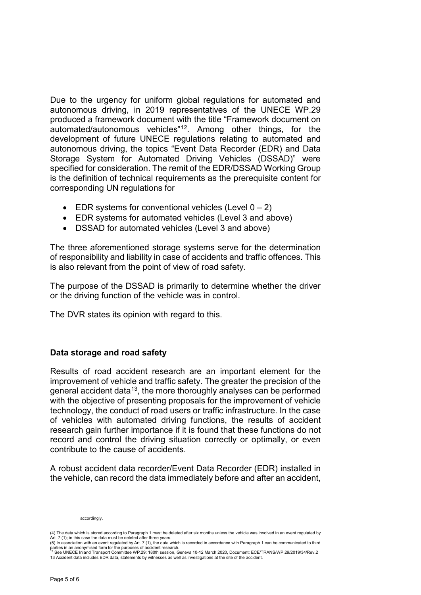Due to the urgency for uniform global regulations for automated and autonomous driving, in 2019 representatives of the UNECE WP.29 produced a framework document with the title "Framework document on automated/autonomous vehicles"[12.](#page-4-0) Among other things, for the development of future UNECE regulations relating to automated and autonomous driving, the topics "Event Data Recorder (EDR) and Data Storage System for Automated Driving Vehicles (DSSAD)" were specified for consideration. The remit of the EDR/DSSAD Working Group is the definition of technical requirements as the prerequisite content for corresponding UN regulations for

- EDR systems for conventional vehicles (Level  $0 2$ )
- EDR systems for automated vehicles (Level 3 and above)
- DSSAD for automated vehicles (Level 3 and above)

The three aforementioned storage systems serve for the determination of responsibility and liability in case of accidents and traffic offences. This is also relevant from the point of view of road safety.

The purpose of the DSSAD is primarily to determine whether the driver or the driving function of the vehicle was in control.

The DVR states its opinion with regard to this.

## **Data storage and road safety**

Results of road accident research are an important element for the improvement of vehicle and traffic safety. The greater the precision of the general accident data<sup>[13](#page-4-1)</sup>, the more thoroughly analyses can be performed with the objective of presenting proposals for the improvement of vehicle technology, the conduct of road users or traffic infrastructure. In the case of vehicles with automated driving functions, the results of accident research gain further importance if it is found that these functions do not record and control the driving situation correctly or optimally, or even contribute to the cause of accidents.

A robust accident data recorder/Event Data Recorder (EDR) installed in the vehicle, can record the data immediately before and after an accident,

accordingly.

<sup>(4)</sup> The data which is stored according to Paragraph 1 must be deleted after six months unless the vehicle was involved in an event regulated by<br>Art[. 7](https://dejure.org/gesetze/StVG/7.html) (1); in this case the data must be deleted after three years.<br>(5) In as

<span id="page-4-1"></span><span id="page-4-0"></span><sup>(5)</sup> In association with an event regulated by Put T (1), the Search.<br>12 See UNECE Inland Transport Committee WP.29: 180th session, Geneva 10-12 March 2020, Document: ECE/TRANS/WP.29/2019/34/Rev.2<br>12 See UNECE Inland Transp 13 Accident data includes EDR data, statements by witnesses as well as investigations at the site of the accident.